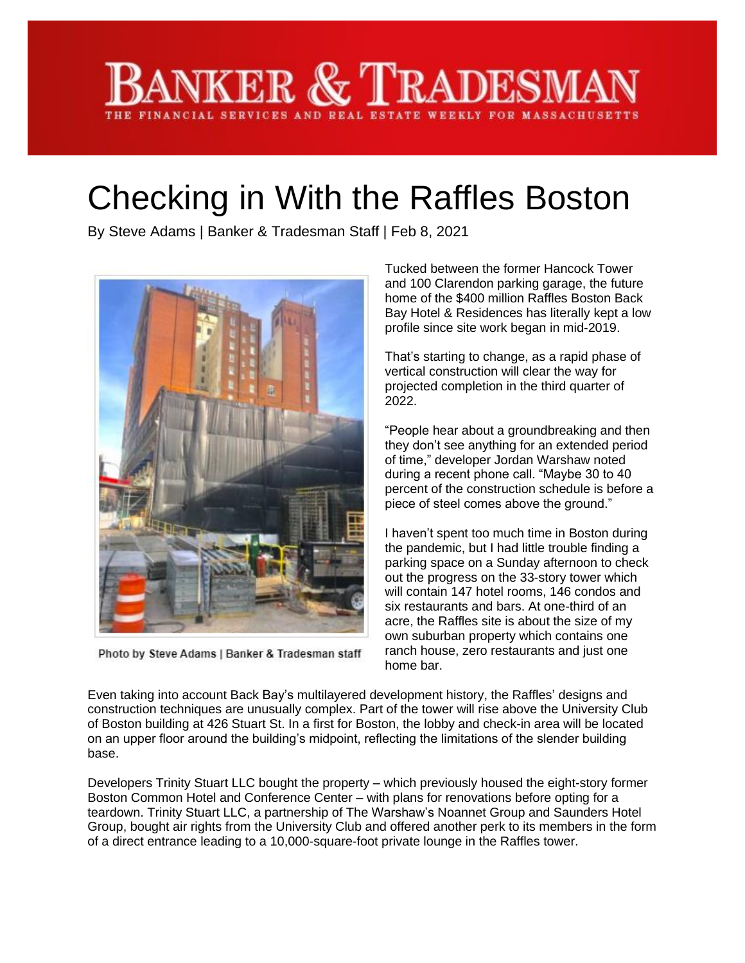## KER & TRADESMA FINANCIAL SERVICES AND REAL ESTATE WEEKLY FOR MASSACHUSE

## Checking in With the Raffles Boston

By Steve Adams | Banker & Tradesman Staff | Feb 8, 2021



Photo by Steve Adams | Banker & Tradesman staff

Tucked between the former Hancock Tower and 100 Clarendon parking garage, the future home of the \$400 million Raffles Boston Back Bay Hotel & Residences has literally kept a low profile since site work began in mid-2019.

That's starting to change, as a rapid phase of vertical construction will clear the way for projected completion in the third quarter of 2022.

"People hear about a groundbreaking and then they don't see anything for an extended period of time," developer Jordan Warshaw noted during a recent phone call. "Maybe 30 to 40 percent of the construction schedule is before a piece of steel comes above the ground."

I haven't spent too much time in Boston during the pandemic, but I had little trouble finding a parking space on a Sunday afternoon to check out the progress on the 33-story tower which will contain 147 hotel rooms, 146 condos and six restaurants and bars. At one-third of an acre, the Raffles site is about the size of my own suburban property which contains one ranch house, zero restaurants and just one home bar.

Even taking into account Back Bay's multilayered development history, the Raffles' designs and construction techniques are unusually complex. Part of the tower will rise above the University Club of Boston building at 426 Stuart St. In a first for Boston, the lobby and check-in area will be located on an upper floor around the building's midpoint, reflecting the limitations of the slender building base.

Developers Trinity Stuart LLC bought the property – which previously housed the eight-story former Boston Common Hotel and Conference Center – with plans for renovations before opting for a teardown. Trinity Stuart LLC, a partnership of The Warshaw's Noannet Group and Saunders Hotel Group, bought air rights from the University Club and offered another perk to its members in the form of a direct entrance leading to a 10,000-square-foot private lounge in the Raffles tower.